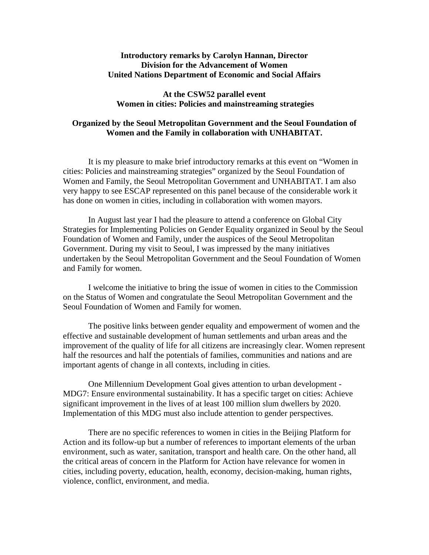## **Introductory remarks by Carolyn Hannan, Director Division for the Advancement of Women United Nations Department of Economic and Social Affairs**

## **At the CSW52 parallel event Women in cities: Policies and mainstreaming strategies**

## **Organized by the Seoul Metropolitan Government and the Seoul Foundation of Women and the Family in collaboration with UNHABITAT.**

It is my pleasure to make brief introductory remarks at this event on "Women in cities: Policies and mainstreaming strategies" organized by the Seoul Foundation of Women and Family, the Seoul Metropolitan Government and UNHABITAT. I am also very happy to see ESCAP represented on this panel because of the considerable work it has done on women in cities, including in collaboration with women mayors.

In August last year I had the pleasure to attend a conference on Global City Strategies for Implementing Policies on Gender Equality organized in Seoul by the Seoul Foundation of Women and Family, under the auspices of the Seoul Metropolitan Government. During my visit to Seoul, I was impressed by the many initiatives undertaken by the Seoul Metropolitan Government and the Seoul Foundation of Women and Family for women.

I welcome the initiative to bring the issue of women in cities to the Commission on the Status of Women and congratulate the Seoul Metropolitan Government and the Seoul Foundation of Women and Family for women.

The positive links between gender equality and empowerment of women and the effective and sustainable development of human settlements and urban areas and the improvement of the quality of life for all citizens are increasingly clear. Women represent half the resources and half the potentials of families, communities and nations and are important agents of change in all contexts, including in cities.

One Millennium Development Goal gives attention to urban development - MDG7: Ensure environmental sustainability. It has a specific target on cities: Achieve significant improvement in the lives of at least 100 million slum dwellers by 2020. Implementation of this MDG must also include attention to gender perspectives.

 There are no specific references to women in cities in the Beijing Platform for Action and its follow-up but a number of references to important elements of the urban environment, such as water, sanitation, transport and health care. On the other hand, all the critical areas of concern in the Platform for Action have relevance for women in cities, including poverty, education, health, economy, decision-making, human rights, violence, conflict, environment, and media.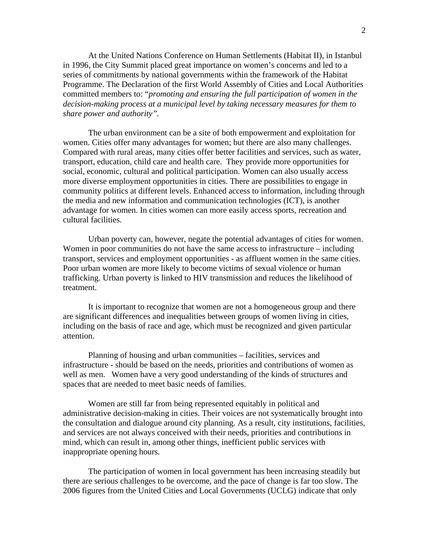At the United Nations Conference on Human Settlements (Habitat II), in Istanbul in 1996, the City Summit placed great importance on women's concerns and led to a series of commitments by national governments within the framework of the Habitat Programme. The Declaration of the first World Assembly of Cities and Local Authorities committed members to: "*promoting and ensuring the full participation of women in the decision-making process at a municipal level by taking necessary measures for them to share power and authority".* 

 The urban environment can be a site of both empowerment and exploitation for women. Cities offer many advantages for women; but there are also many challenges. Compared with rural areas, many cities offer better facilities and services, such as water, transport, education, child care and health care. They provide more opportunities for social, economic, cultural and political participation. Women can also usually access more diverse employment opportunities in cities. There are possibilities to engage in community politics at different levels. Enhanced access to information, including through the media and new information and communication technologies (ICT), is another advantage for women. In cities women can more easily access sports, recreation and cultural facilities.

Urban poverty can, however, negate the potential advantages of cities for women. Women in poor communities do not have the same access to infrastructure – including transport, services and employment opportunities - as affluent women in the same cities. Poor urban women are more likely to become victims of sexual violence or human trafficking. Urban poverty is linked to HIV transmission and reduces the likelihood of treatment.

It is important to recognize that women are not a homogeneous group and there are significant differences and inequalities between groups of women living in cities, including on the basis of race and age, which must be recognized and given particular attention.

 Planning of housing and urban communities – facilities, services and infrastructure - should be based on the needs, priorities and contributions of women as well as men. Women have a very good understanding of the kinds of structures and spaces that are needed to meet basic needs of families.

Women are still far from being represented equitably in political and administrative decision-making in cities. Their voices are not systematically brought into the consultation and dialogue around city planning. As a result, city institutions, facilities, and services are not always conceived with their needs, priorities and contributions in mind, which can result in, among other things, inefficient public services with inappropriate opening hours.

The participation of women in local government has been increasing steadily but there are serious challenges to be overcome, and the pace of change is far too slow. The 2006 figures from the United Cities and Local Governments (UCLG) indicate that only